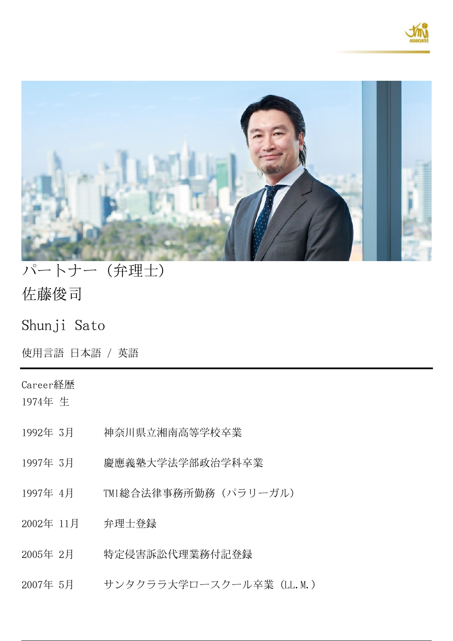



# パートナー(弁理士) **佐藤俊司**

Shunji Sato

使用言語 日本語 / 英語

## **Career経歴**

1974年 生

- 1992年 3月 神奈川県立湘南高等学校卒業
- 1997年 3月 慶應義塾大学法学部政治学科卒業
- 1997年 4月 TMI総合法律事務所勤務(パラリーガル)
- 2002年 11月 弁理士登録
- 2005年 2月 特定侵害訴訟代理業務付記登録
- 2007年 5月 サンタクララ大学ロースクール卒業(LL.M.)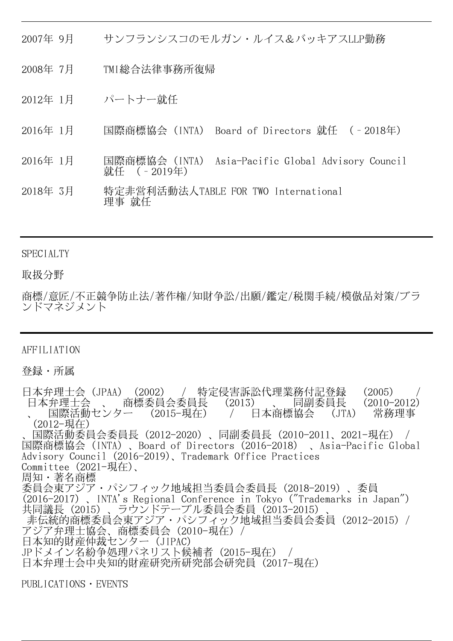- 2007年 9月 サンフランシスコのモルガン・ルイス&バッキアスLLP勤務
- 2008年 7月 TMI総合法律事務所復帰
- 2012年 1月 パートナー就任
- 2016年 1月 国際商標協会(INTA) Board of Directors 就任 (‐2018年)
- 2016年 1月 国際商標協会(INTA) Asia-Pacific Global Advisory Council 就任 (‐2019年)
- 2018年 3月 特定非営利活動法人TABLE FOR TWO International 理事 就任

## **SPECIALTY**

## **取扱分野**

商標/意匠/不正競争防止法/著作権/知財争訟/出願/鑑定/税関手続/模倣品対策/ブラ ンドマネジメント

## AFFILIATION

**登録・所属**

日本弁理士会(JPAA)(2002) / 特定侵害訴訟代理業務付記登録 (2005) 日本弁理士会 、 商標委員会委員長 (2013) 、 同副委員長 (2010-2012)<br>、 国際活動センター (2015-現在) / 日本商標協会 (JTA) 常務理事 、 国際活動センター (2015-現在) / 日本商標協会 (JTA) 常務理事 (2012-現在) 、国際活動委員会委員長(2012-2020)、同副委員長(2010-2011、2021-現在) / 国際商標協会(INTA)、Board of Directors(2016-2018) 、Asia-Pacific Global Advisory Council (2016-2019)、Trademark Office Practices Committee (2021-現在)、 周知・著名商標 委員会東アジア・パシフィック地域担当委員会委員長(2018-2019)、委員 (2016-2017)、INTA's Regional Conference in Tokyo ("Trademarks in Japan") 共同議長 (2015)、ラウンドテーブル委員会委員 (2013-2015) 非伝統的商標委員会東アジア・パシフィック地域担当委員会委員 (2012-2015) / アジア弁理士協会、商標委員会 (2010-現在) / 日本知的財産仲裁センター(JIPAC) JPドメイン名紛争処理パネリスト候補者(2015-現在) / 日本弁理士会中央知的財産研究所研究部会研究員(2017-現在)

PUBLICATIONS・EVENTS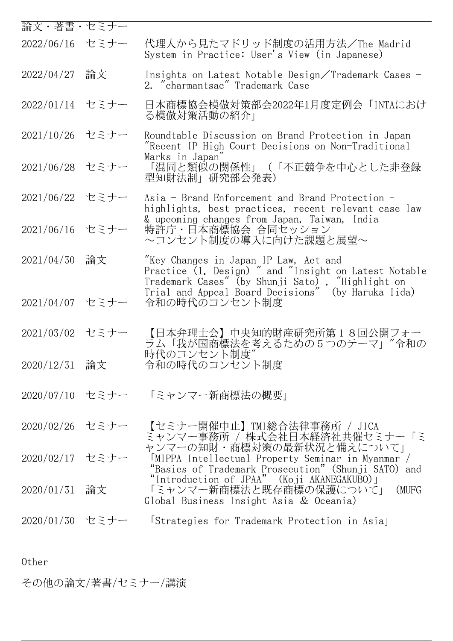| 論文・著書・セミナー      |    |                                                                                                                                                                                                           |
|-----------------|----|-----------------------------------------------------------------------------------------------------------------------------------------------------------------------------------------------------------|
| 2022/06/16 セミナー |    | 代理人から見たマドリッド制度の活用方法/The Madrid<br>System in Practice: User's View (in Japanese)                                                                                                                           |
| 2022/04/27      | 論文 | Insights on Latest Notable Design/Trademark Cases -<br>2. "charmantsac" Trademark Case                                                                                                                    |
| 2022/01/14 セミナー |    | 日本商標協会模倣対策部会2022年1月度定例会 「INTAにおけ<br>る模倣対策活動の紹介」                                                                                                                                                           |
| 2021/10/26 セミナー |    | Roundtable Discussion on Brand Protection in Japan<br>"Recent IP High Court Decisions on Non-Traditional                                                                                                  |
| 2021/06/28 セミナー |    | Marks in Japan"<br>「混同と類似の関係性」(「不正競争を中心とした非登録<br>型知財法制」研究部会発表)                                                                                                                                            |
| 2021/06/22 セミナー |    | Asia - Brand Enforcement and Brand Protection -<br>highlights, best practices, recent relevant case law                                                                                                   |
| 2021/06/16 セミナー |    | & upcoming changes from Japan, Taiwan, India<br>特許庁・日本商標協会 合同セッション<br>~コンセント制度の導入に向けた課題と展望~                                                                                                               |
| 2021/04/30      | 論文 | "Key Changes in Japan IP Law, Act and<br>Practice (1. Design) " and "Insight on Latest Notable<br>Trademark Cases" (by Shunji Sato) , "Highlight on<br>Trial and Appeal Board Decisions" (by Haruka Iida) |
| 2021/04/07 セミナー |    | 令和の時代のコンセント制度                                                                                                                                                                                             |
| 2021/03/02 セミナー |    | 【日本弁理士会】中央知的財産研究所第18回公開フォー<br>ラム「我が国商標法を考えるための5つのテーマ」"令和の                                                                                                                                                 |
| 2020/12/31 論文   |    | 時代のコンセント制度"<br>令和の時代のコンセント制度                                                                                                                                                                              |
|                 |    | 2020/07/10 セミナー 「ミャンマー新商標法の概要」                                                                                                                                                                            |
| 2020/02/26 セミナー |    | 【セミナー開催中止】TMI総合法律事務所 / JICA<br>ミャンマー事務所 / 株式会社日本経済社共催セミナー「ミ                                                                                                                                               |
| 2020/02/17 セミナー |    | ャンマーの知財・商標対策の最新状況と備えについて」<br>[MIPPA Intellectual Property Seminar in Myanmar /<br>"Basics of Trademark Prosecution" (Shunji SATO)<br>and                                                                  |
| 2020/01/31      | 論文 | "Introduction of JPAA" (Koji AKANEGAKUBO) 」<br>「ミャンマー新商標法と既存商標の保護について」<br>(MUFG<br>Global Business Insight Asia & Oceania)                                                                                |
| 2020/01/30 セミナー |    | Strategies for Trademark Protection in Asial                                                                                                                                                              |
|                 |    |                                                                                                                                                                                                           |

Other

**その他の論文/著書/セミナー/講演**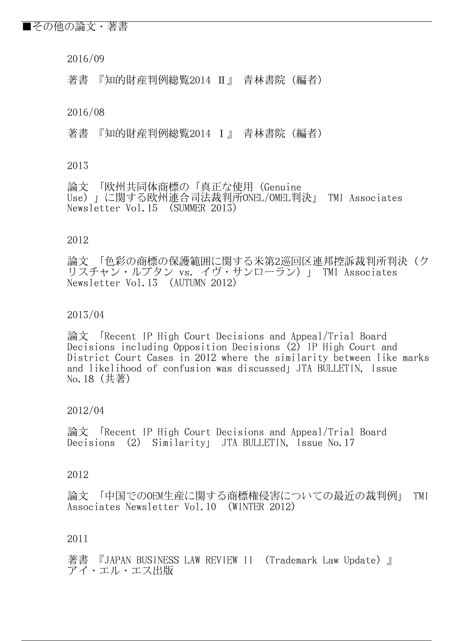## ■その他の論文・著書

2016/09

著書 『知的財産判例総覧2014 Ⅱ』 青林書院(編者)

2016/08

著書 『知的財産判例総覧2014 Ⅰ』 青林書院(編者)

#### 2013

論文 「欧州共同体商標の「真正な使用(Genuine Use)」に関する欧州連合司法裁判所ONEL/OMEL判決」 TMI Associates Newsletter Vol.15 (SUMMER 2013)

#### 2012

論文 「色彩の商標の保護範囲に関する米第2巡回区連邦控訴裁判所判決(ク リスチャン・ルブタン vs. イヴ・サンローラン)」 TMI Associates Newsletter Vol.13 (AUTUMN 2012)

## 2013/04

論文 「Recent IP High Court Decisions and Appeal/Trial Board Decisions including Opposition Decisions (2) IP High Court and District Court Cases in 2012 where the similarity between like marks and likelihood of confusion was discussed」JTA BULLETIN, Issue No.18(共著)

## 2012/04

論文 「Recent IP High Court Decisions and Appeal/Trial Board Decisions (2) Similarity JTA BULLETIN, Issue No. 17

#### 2012

論文 「中国でのOEM生産に関する商標権侵害についての最近の裁判例」 TMI Associates Newsletter Vol.10 (WINTER 2012)

#### 2011

著書 『JAPAN BUSINESS LAW REVIEW II (Trademark Law Update)』 アイ・エル・エス出版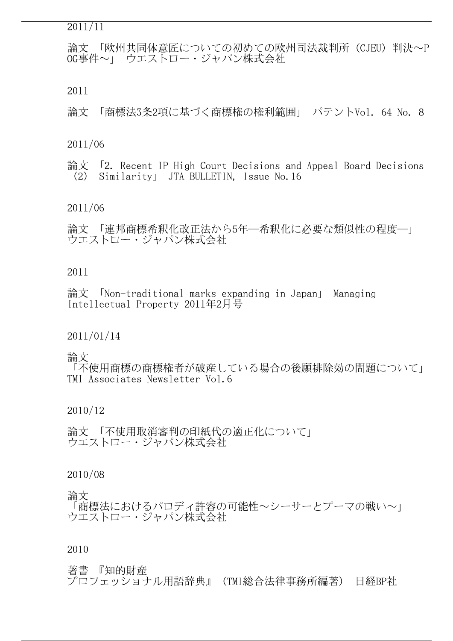#### 2011/11

論文 「欧州共同体意匠についての初めての欧州司法裁判所(CJEU)判決~P OG事件~」 ウエストロー・ジャパン株式会社

2011

論文 「商標法3条2項に基づく商標権の権利範囲」 パテントVol. 64 No. 8

#### 2011/06

論文 「2. Recent IP High Court Decisions and Appeal Board Decisions (2) Similarity」 JTA BULLETIN, Issue No.16

#### 2011/06

論文 「連邦商標希釈化改正法から5年―希釈化に必要な類似性の程度―」 ウエストロー・ジャパン株式会社

## 2011

論文 「Non-traditional marks expanding in Japan」 Managing Intellectual Property 2011年2月号

## 2011/01/14

#### 論文

「不使用商標の商標権者が破産している場合の後願排除効の問題について」 TMI Associates Newsletter Vol.6

## 2010/12

論文 「不使用取消審判の印紙代の適正化について」 ウエストロー・ジャパン株式会社

## 2010/08

#### 論文

「商標法におけるパロディ許容の可能性~シーサーとプーマの戦い~」 ウエストロー・ジャパン株式会社

#### 2010

## 著書 『知的財産

プロフェッショナル用語辞典』(TMI総合法律事務所編著) 日経BP社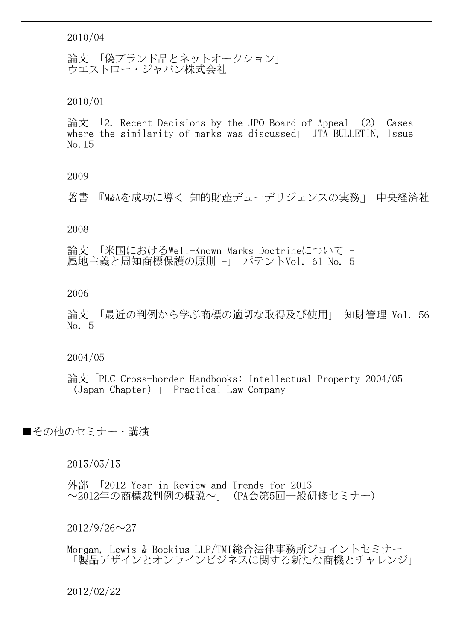2010/04

論文 「偽ブランド品とネットオークション」 ウエストロー・ジャパン株式会社

2010/01

論文 「2. Recent Decisions by the JPO Board of Appeal (2) Cases where the similarity of marks was discussed | JTA BULLETIN, Issue No.15

2009

著書 『M&Aを成功に導く 知的財産デューデリジェンスの実務』 中央経済社

2008

論文 「米国におけるWell-Known Marks Doctrineについて - 属地主義と周知商標保護の原則 -」 パテントVol. 61 No. 5

2006

論文 「最近の判例から学ぶ商標の適切な取得及び使用」 知財管理 Vol. 56 No. 5

2004/05

論文「PLC Cross-border Handbooks: Intellectual Property 2004/05 (Japan Chapter)」 Practical Law Company

■その他のセミナー・講演

2013/03/13

外部 「2012 Year in Review and Trends for 2013 ~2012年の商標裁判例の概説~」(PA会第5回一般研修セミナー)

 $2012/9/26 \sim 27$ 

Morgan, Lewis & Bockius LLP/TMI総合法律事務所ジョイントセミナー 「製品デザインとオンラインビジネスに関する新たな商機とチャレンジ」

2012/02/22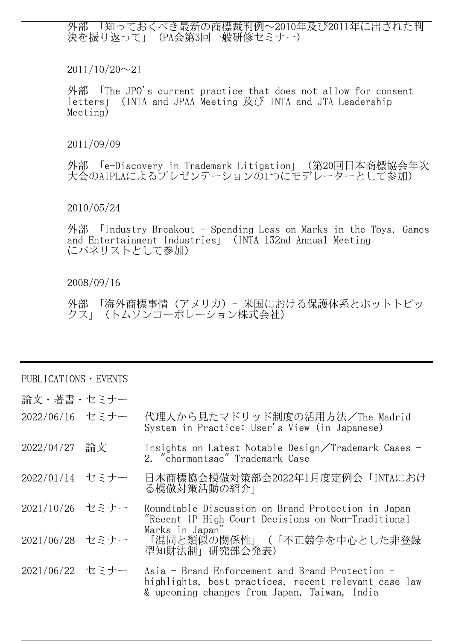外部 「知っておくべき最新の商標裁判例~2010年及び2011年に出された判 決を振り返って」(PA会第3回一般研修セミナー)

 $2011/10/20 \sim 21$ 

外部 「The JPO's current practice that does not allow for consent letters」(INTA and JPAA Meeting 及び INTA and JTA Leadership Meeting)

2011/09/09

外部 「e-Discovery in Trademark Litigation」(第20回日本商標協会年次 大会のAIPLAによるプレゼンテーションの1つにモデレーターとして参加)

## 2010/05/24

外部 「Industry Breakout - Spending Less on Marks in the Toys, Games and Entertainment Industries」(INTA 132nd Annual Meeting にパネリストとして参加)

## 2008/09/16

外部 「海外商標事情(アメリカ)- 米国における保護体系とホットトピッ クス」(トムソンコーポレーション株式会社)

## PUBLICATIONS・EVENTS

- **論文・著書・セミナー**
- 2022/06/16 セミナー 代理人から見たマドリッド制度の活用方法/The Madrid System in Practice: User's View(in Japanese)
- 2022/04/27 論文 Insights on Latest Notable Design/Trademark Cases 2. "charmantsac" Trademark Case
- 2022/01/14 セミナー 日本商標協会模倣対策部会2022年1月度定例会「INTAにおけ る模倣対策活動の紹介」
- 2021/10/26 セミナー Roundtable Discussion on Brand Protection in Japan "Recent IP High Court Decisions on Non-Traditional Marks in Japan"
- 2021/06/28 セミナー 「混同と類似の関係性」(「不正競争を中心とした非登録 型知財法制」研究部会発表)
- 2021/06/22 セミナー Asia Brand Enforcement and Brand Protection highlights, best practices, recent relevant case law & upcoming changes from Japan, Taiwan, India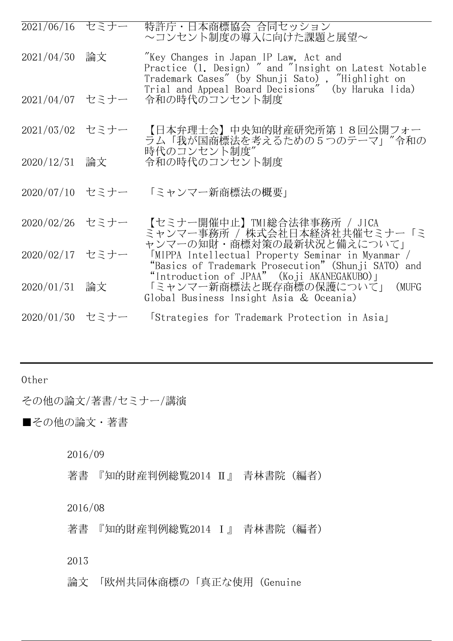| 2021/06/16 セミナー |    | 特許庁・日本商標協会 合同セッション<br>~コンセント制度の導入に向けた課題と展望~                                                                                                        |
|-----------------|----|----------------------------------------------------------------------------------------------------------------------------------------------------|
| 2021/04/30      | 論文 | "Key Changes in Japan IP Law, Act and<br>Practice (1. Design) " and "Insight on Latest Notable<br>Trademark Cases" (by Shunji Sato), "Highlight on |
| 2021/04/07 セミナー |    | Trial and Appeal Board Decisions" (by Haruka Iida)<br>令和の時代のコンセント制度                                                                                |
| 2021/03/02 セミナー |    | 【日本弁理士会】中央知的財産研究所第18回公開フォー<br>ラム「我が国商標法を考えるための5つのテーマ」"令和の                                                                                          |
| 2020/12/31      | 論文 | 時代のコンセント制度"<br>令和の時代のコンセント制度                                                                                                                       |
| 2020/07/10 セミナー |    | 「ミャンマー新商標法の概要」                                                                                                                                     |
| 2020/02/26 セミナー |    | 【セミナー開催中止】TMI総合法律事務所 / JICA<br>ミャンマー事務所 / 株式会社日本経済社共催セミナー「ミ                                                                                        |
| 2020/02/17 セミナー |    | ャンマーの知財・商標対策の最新状況と備えについて」<br>[MIPPA Intellectual Property Seminar in Myanmar /<br>"Basics of Trademark Prosecution" (Shunji SATO) and              |
| 2020/01/31      | 論文 | "Introduction of JPAA" (Koji AKANEGAKUBO) 」<br>「ミャンマー新商標法と既存商標の保護について」(MUFG<br>Global Business Insight Asia & Oceania)                             |
| 2020/01/30 セミナー |    | Strategies for Trademark Protection in Asial                                                                                                       |

Other

**その他の論文/著書/セミナー/講演**

■その他の論文・著書

2016/09

著書 『知的財産判例総覧2014 Ⅱ』 青林書院(編者)

2016/08

著書 『知的財産判例総覧2014 Ⅰ』 青林書院(編者)

2013

論文 「欧州共同体商標の「真正な使用(Genuine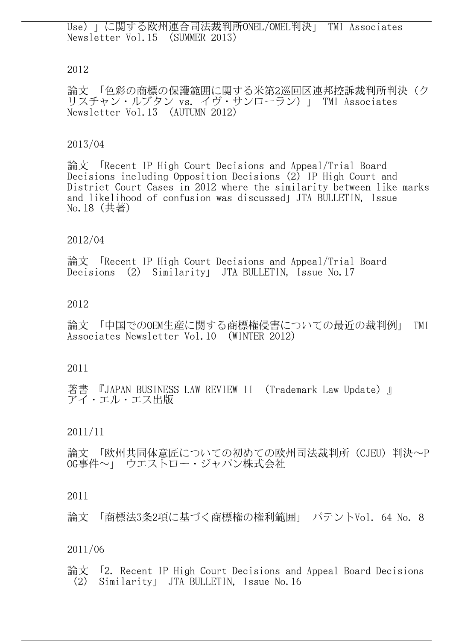Use)」に関する欧州連合司法裁判所ONEL/OMEL判決」 TMI Associates Newsletter Vol.15 (SUMMER 2013)

## 2012

論文 「色彩の商標の保護範囲に関する米第2巡回区連邦控訴裁判所判決(ク リスチャン・ルブタン vs. イヴ・サンローラン)」 TMI Associates Newsletter Vol.13 (AUTUMN 2012)

## 2013/04

論文 「Recent IP High Court Decisions and Appeal/Trial Board Decisions including Opposition Decisions (2) IP High Court and District Court Cases in 2012 where the similarity between like marks and likelihood of confusion was discussed」JTA BULLETIN, Issue No.18(共著)

## 2012/04

論文 「Recent IP High Court Decisions and Appeal/Trial Board Decisions (2) Similarity JTA BULLETIN, Issue No. 17

## 2012

論文 「中国でのOEM生産に関する商標権侵害についての最近の裁判例」 TMI Associates Newsletter Vol.10 (WINTER 2012)

## 2011

『JAPAN BUSINESS LAW REVIEW II (Trademark Law Update)』 アイ・エル・エス出版

## 2011/11

論文 「欧州共同体意匠についての初めての欧州司法裁判所(CJEU)判決~P OG事件~」 ウエストロー・ジャパン株式会社

## 2011

論文 「商標法3条2項に基づく商標権の権利範囲」 パテントVol. 64 No. 8

## 2011/06

論文 「2. Recent IP High Court Decisions and Appeal Board Decisions (2) Similarity」 JTA BULLETIN, Issue No.16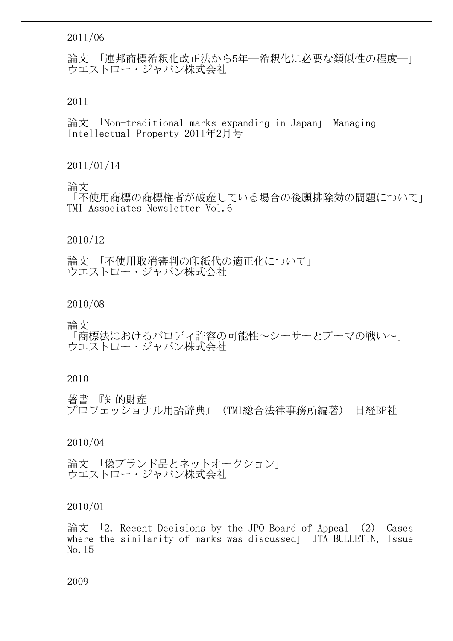## 2011/06

論文 「連邦商標希釈化改正法から5年―希釈化に必要な類似性の程度―」 ウエストロー・ジャパン株式会社

2011

論文 「Non-traditional marks expanding in Japan」 Managing Intellectual Property 2011年2月号

## 2011/01/14

論文

「不使用商標の商標権者が破産している場合の後願排除効の問題について」 TMI Associates Newsletter Vol.6

#### 2010/12

論文 「不使用取消審判の印紙代の適正化について」 ウエストロー・ジャパン株式会社

2010/08

論文

「商標法におけるパロディ許容の可能性~シーサーとプーマの戦い~」 ウエストロー・ジャパン株式会社

#### 2010

著書 『知的財産 プロフェッショナル用語辞典』(TMI総合法律事務所編著) 日経BP社

## 2010/04

論文 「偽ブランド品とネットオークション」 ウエストロー・ジャパン株式会社

2010/01

論文 「2. Recent Decisions by the JPO Board of Appeal (2) Cases where the similarity of marks was discussed | JTA BULLETIN, Issue No.15

2009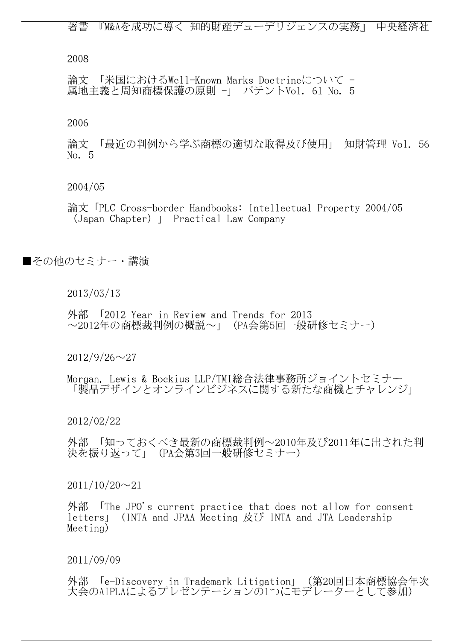著書 『M&Aを成功に導く 知的財産デューデリジェンスの実務』 中央経済社

2008

論文 「米国におけるWell-Known Marks Doctrineについて - 属地主義と周知商標保護の原則 -」 パテントVol. 61 No. 5

2006

論文 「最近の判例から学ぶ商標の適切な取得及び使用」 知財管理 Vol. 56 No. 5

2004/05

論文「PLC Cross-border Handbooks: Intellectual Property 2004/05 (Japan Chapter)」 Practical Law Company

■その他のセミナー・講演

2013/03/13

外部 「2012 Year in Review and Trends for 2013 ~2012年の商標裁判例の概説~」(PA会第5回一般研修セミナー)

 $2012/9/26 \sim 27$ 

Morgan, Lewis & Bockius LLP/TMI総合法律事務所ジョイントセミナー 「製品デザインとオンラインビジネスに関する新たな商機とチャレンジ」

2012/02/22

外部 「知っておくべき最新の商標裁判例~2010年及び2011年に出された判 決を振り返って」(PA会第3回一般研修セミナー)

 $2011/10/20 \sim 21$ 

外部 「The JPO's current practice that does not allow for consent letters」(INTA and JPAA Meeting 及び INTA and JTA Leadership Meeting)

2011/09/09

外部 「e-Discovery in Trademark Litigation」(第20回日本商標協会年次 大会のAIPLAによるプレゼンテーションの1つにモデレーターとして参加)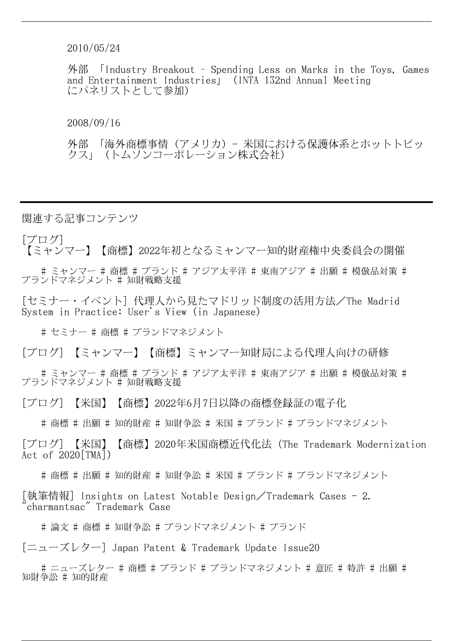2010/05/24

外部 「Industry Breakout – Spending Less on Marks in the Toys, Games and Entertainment Industries」(INTA 132nd Annual Meeting にパネリストとして参加)

2008/09/16

外部 「海外商標事情(アメリカ) - 米国における保護体系とホットトピッ クス」(トムソンコーポレーション株式会社)

**関連する記事コンテンツ**

[ブログ]

【ミャンマー】【商標】2022年初となるミャンマー知的財産権中央委員会の開催

 # ミャンマー # 商標 # ブランド # アジア太平洋 # 東南アジア # 出願 # 模倣品対策 # ブランドマネジメント # 知財戦略支援

[セミナー・イベント] 代理人から見たマドリッド制度の活用方法/The Madrid System in Practice: User's View(in Japanese)

# セミナー # 商標 # ブランドマネジメント

[ブログ] 【ミャンマー】【商標】ミャンマー知財局による代理人向けの研修

 # ミャンマー # 商標 # ブランド # アジア太平洋 # 東南アジア # 出願 # 模倣品対策 # ブランドマネジメント # 知財戦略支援

[ブログ] 【米国】【商標】2022年6月7日以降の商標登録証の電子化

# 商標 # 出願 # 知的財産 # 知財争訟 # 米国 # ブランド # ブランドマネジメント

[ブログ] 【米国】【商標】2020年米国商標近代化法(The Trademark Modernization Act of 2020[TMA])

# 商標 # 出願 # 知的財産 # 知財争訟 # 米国 # ブランド # ブランドマネジメント

[執筆情報] Insights on Latest Notable Design/Trademark Cases - 2. "charmantsac" Trademark Case

# 論文 # 商標 # 知財争訟 # ブランドマネジメント # ブランド

[ニューズレター] Japan Patent & Trademark Update Issue20

 # ニューズレター # 商標 # ブランド # ブランドマネジメント # 意匠 # 特許 # 出願 # 知財争訟 # 知的財産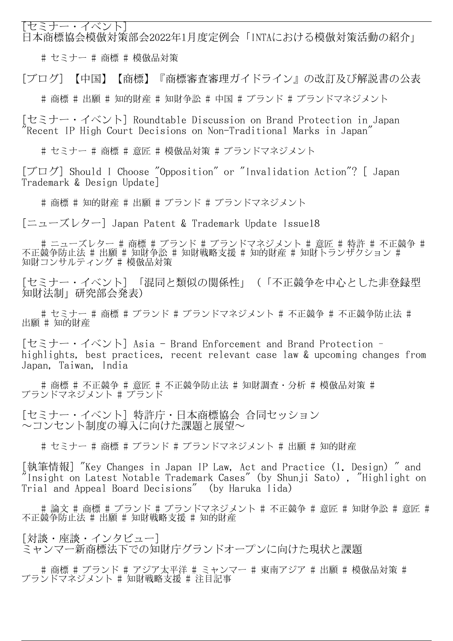[セミナー・イベント] 日本商標協会模倣対策部会2022年1月度定例会「INTAにおける模倣対策活動の紹介」

# セミナー # 商標 # 模倣品対策

[ブログ] 【中国】【商標】『商標審査審理ガイドライン』の改訂及び解説書の公表

# 商標 # 出願 # 知的財産 # 知財争訟 # 中国 # ブランド # ブランドマネジメント

[セミナー・イベント] Roundtable Discussion on Brand Protection in Japan "Recent IP High Court Decisions on Non-Traditional Marks in Japan"

# セミナー # 商標 # 意匠 # 模倣品対策 # ブランドマネジメント

[ブログ] Should I Choose "Opposition" or "Invalidation Action"? [ Japan Trademark & Design Update]

# 商標 # 知的財産 # 出願 # ブランド # ブランドマネジメント

[ニューズレター] Japan Patent & Trademark Update Issue18

# ニューズレター ♯ 商標 ♯ ブランド ♯ ブランドマネジメント ♯ 意匠 ♯ 特許 ♯ 不正競争 ♯ 不正競争防止法 # 出願 # 知財争訟 # 知財戦略支援 # 知的財産 # 知財トランザクション # 知財コンサルティング # 模倣品対策

[セミナー・イベント] 「混同と類似の関係性」(「不正競争を中心とした非登録型 知財法制」研究部会発表)

 # セミナー # 商標 # ブランド # ブランドマネジメント # 不正競争 # 不正競争防止法 # 出願 # 知的財産

[セミナー・イベント] Asia - Brand Enforcement and Brand Protection – highlights, best practices, recent relevant case law & upcoming changes from Japan, Taiwan, India

# 商標 # 不正競争 # 意匠 # 不正競争防止法 # 知財調査・分析 # 模倣品対策 # ブランドマネジメント # ブランド

[セミナー・イベント] 特許庁・日本商標協会 合同セッション ~コンセント制度の導入に向けた課題と展望~

# セミナー # 商標 # ブランド # ブランドマネジメント # 出願 # 知的財産

[執筆情報] "Key Changes in Japan IP Law, Act and Practice (1. Design) " and "Insight on Latest Notable Trademark Cases"(by Shunji Sato), "Highlight on Trial and Appeal Board Decisions" (by Haruka Iida)

 # 論文 # 商標 # ブランド # ブランドマネジメント # 不正競争 # 意匠 # 知財争訟 # 意匠 # 不正競争防止法 # 出願 # 知財戦略支援 # 知的財産

[対談・座談・インタビュー] ミャンマー新商標法下での知財庁グランドオープンに向けた現状と課題

 # 商標 # ブランド # アジア太平洋 # ミャンマー # 東南アジア # 出願 # 模倣品対策 # ブランドマネジメント # 知財戦略支援 # 注目記事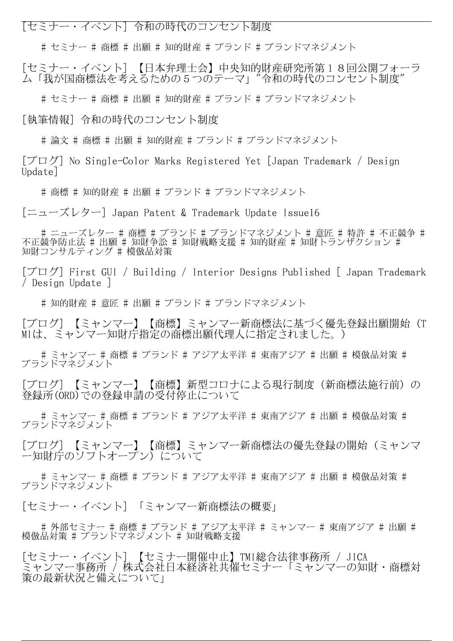[セミナー・イベント] 令和の時代のコンセント制度

# セミナー # 商標 # 出願 # 知的財産 # ブランド # ブランドマネジメント

[セミナー・イベント] 【日本弁理士会】中央知的財産研究所第18回公開フォーラ ム「我が国商標法を考えるための5つのテーマ」"令和の時代のコンセント制度"

# セミナー # 商標 # 出願 # 知的財産 # ブランド # ブランドマネジメント

[執筆情報] 令和の時代のコンセント制度

# 論文 # 商標 # 出願 # 知的財産 # ブランド # ブランドマネジメント

[ブログ] No Single-Color Marks Registered Yet [Japan Trademark / Design Update]

# 商標 # 知的財産 # 出願 # ブランド # ブランドマネジメント

[ニューズレター] Japan Patent & Trademark Update Issue16

# ニューズレター ♯ 商標 ♯ ブランド ♯ ブランドマネジメント ♯ 意匠 ♯ 特許 ♯ 不正競争 ♯ 不正競争防止法 # 出願 # 知財争訟 # 知財戦略支援 # 知的財産 # 知財トランザクション # 知財コンサルティング # 模倣品対策

[ブログ] First GUI / Building / Interior Designs Published [ Japan Trademark / Design Update ]

# 知的財産 # 意匠 # 出願 # ブランド # ブランドマネジメント

[ブログ] 【ミャンマー】【商標】ミャンマー新商標法に基づく優先登録出願開始(T MIは、ミャンマー知財庁指定の商標出願代理人に指定されました。)

 # ミャンマー # 商標 # ブランド # アジア太平洋 # 東南アジア # 出願 # 模倣品対策 # ブランドマネジメント

[ブログ] 【ミャンマー】【商標】新型コロナによる現行制度(新商標法施行前)の 登録所(ORD)での登録申請の受付停止について

 # ミャンマー # 商標 # ブランド # アジア太平洋 # 東南アジア # 出願 # 模倣品対策 # ブランドマネジメント

[ブログ] 【ミャンマー】【商標】ミャンマー新商標法の優先登録の開始(ミャンマ ー知財庁のソフトオープン)について

 # ミャンマー # 商標 # ブランド # アジア太平洋 # 東南アジア # 出願 # 模倣品対策 # ブランドマネジメント

[セミナー・イベント] 「ミャンマー新商標法の概要」

# 外部セミナー ♯ 商標 ♯ ブランド ♯ アジア太平洋 ♯ ミャンマー ♯ 東南アジア ♯ 出願 ♯ 模倣品対策 # ブランドマネジメント # 知財戦略支援

[セミナー・イベント] 【セミナー開催中止】TMI総合法律事務所 / JICA ミャンマー事務所 / 株式会社日本経済社共催セミナー「ミャンマーの知財・商標対 策の最新状況と備えについて」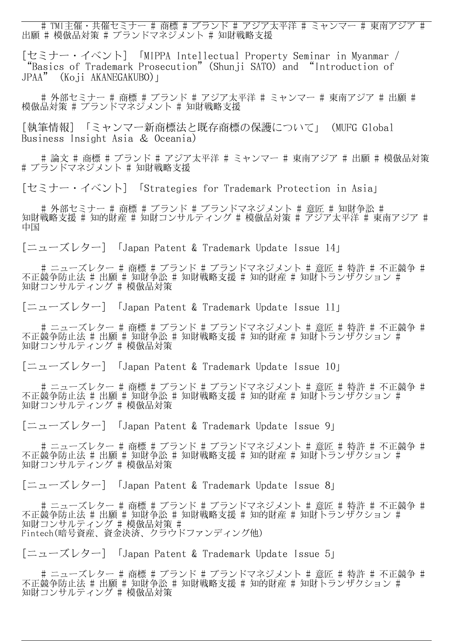# TMI主催・共催セミナー # 商標 # ブランド # アジア太平洋 # ミャンマー # 東南アジア # 出願 # 模倣品対策 # ブランドマネジメント # 知財戦略支援

[セミナー・イベント] 「MIPPA Intellectual Property Seminar in Myanmar / "Basics of Trademark Prosecution"(Shunji SATO) and "Introduction of JPAA" (Koji AKANEGAKUBO)」

# 外部セミナー ♯ 商標 ♯ ブランド ♯ アジア太平洋 ♯ ミャンマー ♯ 東南アジア ♯ 出願 ♯ 模倣品対策 # ブランドマネジメント # 知財戦略支援

[執筆情報] 「ミャンマー新商標法と既存商標の保護について」(MUFG Global Business Insight Asia & Oceania)

 # 論文 # 商標 # ブランド # アジア太平洋 # ミャンマー # 東南アジア # 出願 # 模倣品対策 # ブランドマネジメント # 知財戦略支援

[セミナー・イベント] 「Strategies for Trademark Protection in Asia」

# 外部セミナー ♯ 商標 ♯ ブランド ♯ ブランドマネジメント ♯ 意匠 ♯ 知財争訟 ♯ 知財戦略支援 # 知的財産 # 知財コンサルティング # 模倣品対策 # アジア太平洋 # 東南アジア # 中国

[ニューズレター] 「Japan Patent & Trademark Update Issue 14」

# ニューズレター ♯ 商標 ♯ ブランド ♯ ブランドマネジメント ♯ 意匠 ♯ 特許 ♯ 不正競争 ♯ 不正競争防止法 # 出願 # 知財争訟 # 知財戦略支援 # 知的財産 # 知財トランザクション # 知財コンサルティング # 模倣品対策

[ニューズレター] 「Japan Patent & Trademark Update Issue 11」

# ニューズレター ♯ 商標 ♯ ブランド ♯ ブランドマネジメント ♯ 意匠 ♯ 特許 ♯ 不正競争 ♯ 不正競争防止法 # 出願 # 知財争訟 # 知財戦略支援 # 知的財産 # 知財トランザクション # 知財コンサルティング # 模倣品対策

[ニューズレター] 「Japan Patent & Trademark Update Issue 10」

 # ニューズレター # 商標 # ブランド # ブランドマネジメント # 意匠 # 特許 # 不正競争 # 不正競争防止法 # 出願 # 知財争訟 # 知財戦略支援 # 知的財産 # 知財トランザクション # 知財コンサルティング # 模倣品対策

[ニューズレター] 「Japan Patent & Trademark Update Issue 9」

# ニューズレター ♯ 商標 ♯ ブランド ♯ ブランドマネジメント ♯ 意匠 ♯ 特許 ♯ 不正競争 ♯ 不正競争防止法 # 出願 # 知財争訟 # 知財戦略支援 # 知的財産 # 知財トランザクション # 知財コンサルティング # 模倣品対策

[ニューズレター] 「Japan Patent & Trademark Update Issue 8」

# ニューズレター ♯ 商標 ♯ ブランド ♯ ブランドマネジメント ♯ 意匠 ♯ 特許 ♯ 不正競争 ♯ 不正競争防止法 # 出願 # 知財争訟 # 知財戦略支援 # 知的財産 # 知財トランザクション # 知財コンサルティング # 模倣品対策 # Fintech(暗号資産、資金決済、クラウドファンディング他)

[ニューズレター] 「Japan Patent & Trademark Update Issue 5」

 # ニューズレター # 商標 # ブランド # ブランドマネジメント # 意匠 # 特許 # 不正競争 # 不正競争防止法 # 出願 # 知財争訟 # 知財戦略支援 # 知的財産 # 知財トランザクション # 知財コンサルティング # 模倣品対策